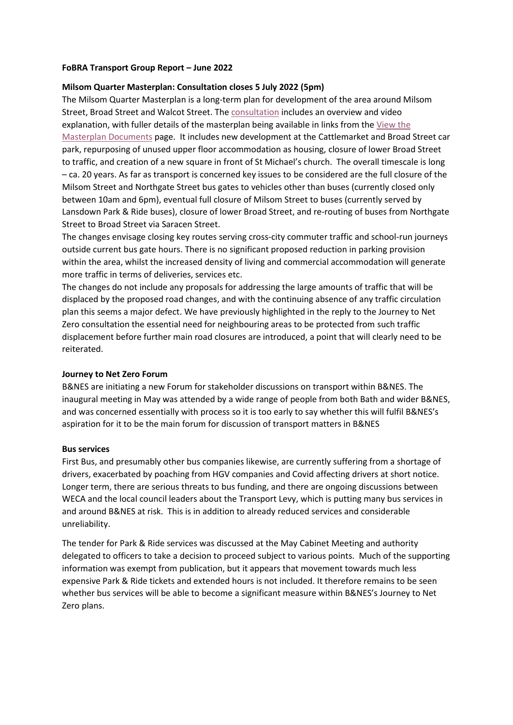### **FoBRA Transport Group Report – June 2022**

## **Milsom Quarter Masterplan: Consultation closes 5 July 2022 (5pm)**

The Milsom Quarter Masterplan is a long-term plan for development of the area around Milsom Street, Broad Street and Walcot Street. The [consultation](https://beta.bathnes.gov.uk/milsom-quarter) includes an overview and video explanation, with fuller details of the masterplan being available in links from the [View the](https://beta.bathnes.gov.uk/milsom-quarter/view-masterplan-documents)  [Masterplan Documents](https://beta.bathnes.gov.uk/milsom-quarter/view-masterplan-documents) page. It includes new development at the Cattlemarket and Broad Street car park, repurposing of unused upper floor accommodation as housing, closure of lower Broad Street to traffic, and creation of a new square in front of St Michael's church. The overall timescale is long – ca. 20 years. As far as transport is concerned key issues to be considered are the full closure of the Milsom Street and Northgate Street bus gates to vehicles other than buses (currently closed only between 10am and 6pm), eventual full closure of Milsom Street to buses (currently served by Lansdown Park & Ride buses), closure of lower Broad Street, and re-routing of buses from Northgate Street to Broad Street via Saracen Street.

The changes envisage closing key routes serving cross-city commuter traffic and school-run journeys outside current bus gate hours. There is no significant proposed reduction in parking provision within the area, whilst the increased density of living and commercial accommodation will generate more traffic in terms of deliveries, services etc.

The changes do not include any proposals for addressing the large amounts of traffic that will be displaced by the proposed road changes, and with the continuing absence of any traffic circulation plan this seems a major defect. We have previously highlighted in the reply to the Journey to Net Zero consultation the essential need for neighbouring areas to be protected from such traffic displacement before further main road closures are introduced, a point that will clearly need to be reiterated.

#### **Journey to Net Zero Forum**

B&NES are initiating a new Forum for stakeholder discussions on transport within B&NES. The inaugural meeting in May was attended by a wide range of people from both Bath and wider B&NES, and was concerned essentially with process so it is too early to say whether this will fulfil B&NES's aspiration for it to be the main forum for discussion of transport matters in B&NES

#### **Bus services**

First Bus, and presumably other bus companies likewise, are currently suffering from a shortage of drivers, exacerbated by poaching from HGV companies and Covid affecting drivers at short notice. Longer term, there are serious threats to bus funding, and there are ongoing discussions between WECA and the local council leaders about the Transport Levy, which is putting many bus services in and around B&NES at risk. This is in addition to already reduced services and considerable unreliability.

The tender for Park & Ride services was discussed at the May Cabinet Meeting and authority delegated to officers to take a decision to proceed subject to various points. Much of the supporting information was exempt from publication, but it appears that movement towards much less expensive Park & Ride tickets and extended hours is not included. It therefore remains to be seen whether bus services will be able to become a significant measure within B&NES's Journey to Net Zero plans.